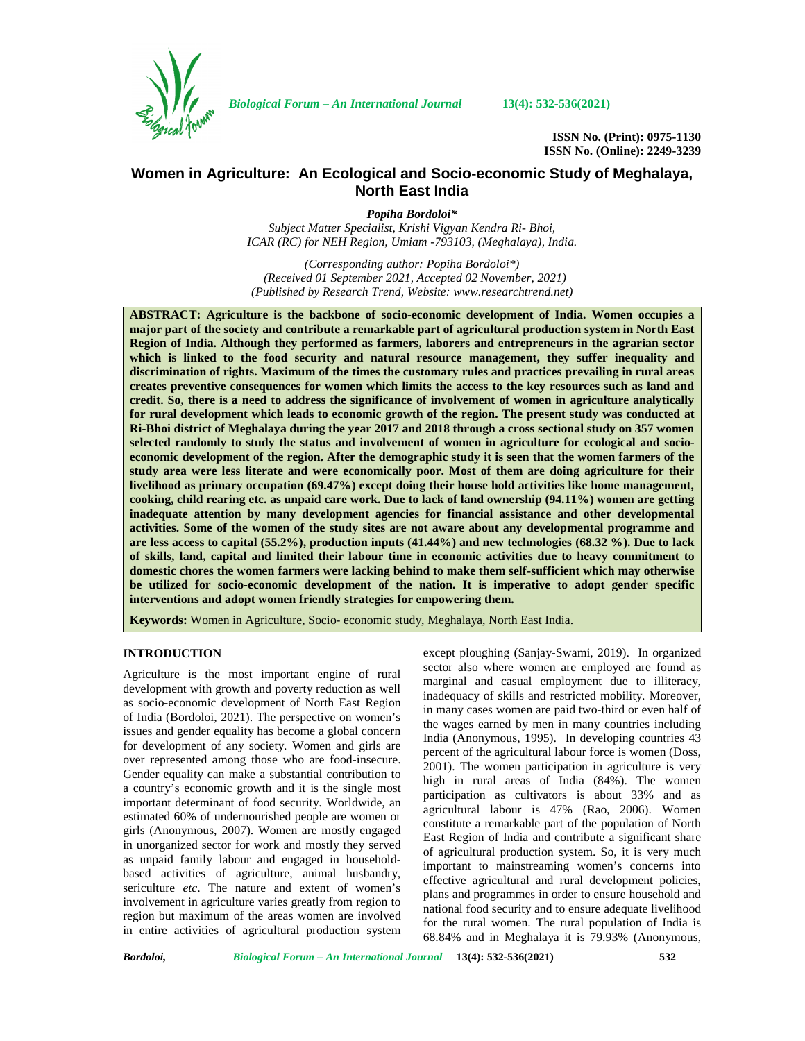

*Biological Forum – An International Journal* **13(4): 532-536(2021)**

**ISSN No. (Print): 0975-1130 ISSN No. (Online): 2249-3239**

# **Women in Agriculture: An Ecological and Socio-economic Study of Meghalaya, North East India**

*Popiha Bordoloi\* Subject Matter Specialist, Krishi Vigyan Kendra Ri- Bhoi, ICAR (RC) for NEH Region, Umiam -793103, (Meghalaya), India.*

*(Corresponding author: Popiha Bordoloi\*) (Received 01 September 2021, Accepted 02 November, 2021) (Published by Research Trend, Website: [www.researchtrend.net\)](www.researchtrend.net)*

**ABSTRACT: Agriculture is the backbone of socio-economic development of India. Women occupies a major part of the society and contribute a remarkable part of agricultural production system in North East Region of India. Although they performed as farmers, laborers and entrepreneurs in the agrarian sector which is linked to the food security and natural resource management, they suffer inequality and discrimination of rights. Maximum of the times the customary rules and practices prevailing in rural areas creates preventive consequences for women which limits the access to the key resources such as land and credit. So, there is a need to address the significance of involvement of women in agriculture analytically for rural development which leads to economic growth of the region. The present study was conducted at Ri-Bhoi district of Meghalaya during the year 2017 and 2018 through a cross sectional study on 357 women selected randomly to study the status and involvement of women in agriculture for ecological and socio economic development of the region. After the demographic study it is seen that the women farmers of the study area were less literate and were economically poor. Most of them are doing agriculture for their livelihood as primary occupation (69.47%) except doing their house hold activities like home management, cooking, child rearing etc. as unpaid care work. Due to lack of land ownership (94.11%) women are getting inadequate attention by many development agencies for financial assistance and other developmental activities. Some of the women of the study sites are not aware about any developmental programme and are less access to capital (55.2%), production inputs (41.44%) and new technologies (68.32 %). Due to lack of skills, land, capital and limited their labour time in economic activities due to heavy commitment to domestic chores the women farmers were lacking behind to make them self-sufficient which may otherwise be utilized for socio-economic development of the nation. It is imperative to adopt gender specific interventions and adopt women friendly strategies for empowering them.**

**Keywords:** Women in Agriculture, Socio- economic study, Meghalaya, North East India.

# **INTRODUCTION**

Agriculture is the most important engine of rural development with growth and poverty reduction as well as socio-economic development of North East Region of India (Bordoloi, 2021). The perspective on women's issues and gender equality has become a global concern for development of any society. Women and girls are over represented among those who are food-insecure. Gender equality can make a substantial contribution to a country's economic growth and it is the single most important determinant of food security. Worldwide, an estimated 60% of undernourished people are women or girls (Anonymous, 2007). Women are mostly engaged in unorganized sector for work and mostly they served as unpaid family labour and engaged in household based activities of agriculture, animal husbandry, sericulture *etc*. The nature and extent of women's involvement in agriculture varies greatly from region to region but maximum of the areas women are involved in entire activities of agricultural production system except ploughing (Sanjay-Swami, 2019). In organized sector also where women are employed are found as marginal and casual employment due to illiteracy, inadequacy of skills and restricted mobility. Moreover, in many cases women are paid two-third or even half of the wages earned by men in many countries including India (Anonymous, 1995). In developing countries 43 percent of the agricultural labour force is women (Doss, 2001). The women participation in agriculture is very high in rural areas of India (84%). The women participation as cultivators is about 33% and as agricultural labour is 47% (Rao, 2006). Women constitute a remarkable part of the population of North East Region of India and contribute a significant share of agricultural production system. So, it is very much important to mainstreaming women's concerns into effective agricultural and rural development policies, plans and programmes in order to ensure household and national food security and to ensure adequate livelihood for the rural women. The rural population of India is 68.84% and in Meghalaya it is 79.93% (Anonymous,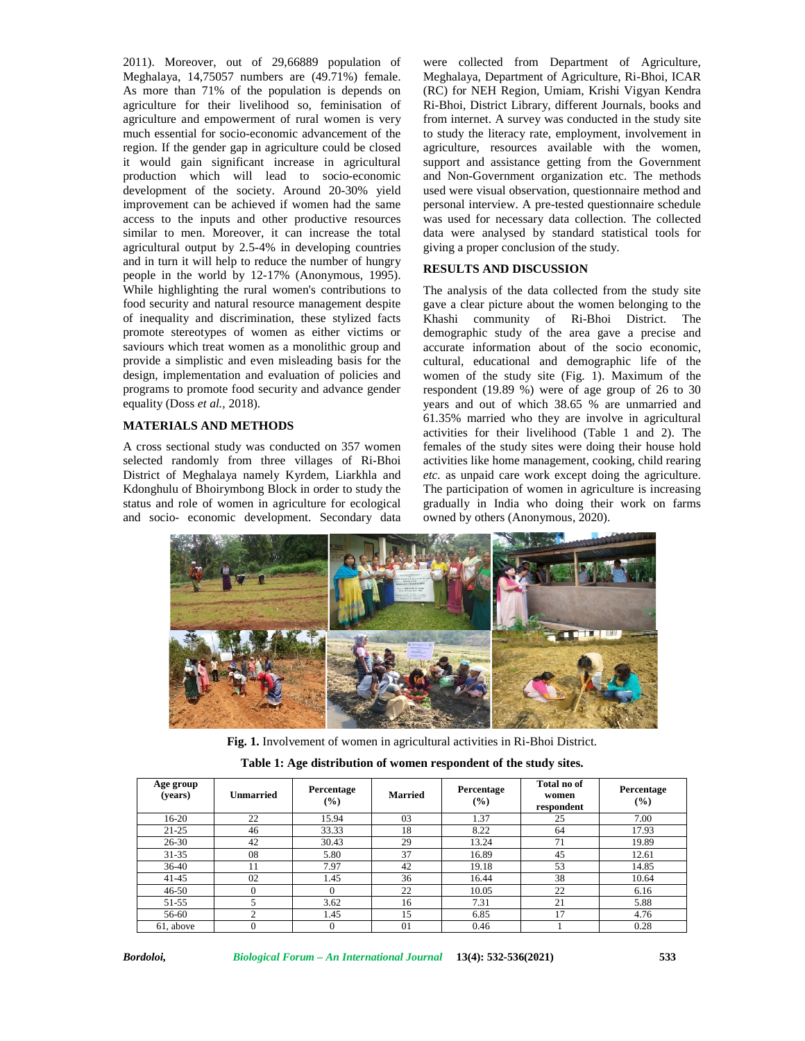2011). Moreover, out of 29,66889 population of Meghalaya, 14,75057 numbers are (49.71%) female. As more than 71% of the population is depends on agriculture for their livelihood so, feminisation of agriculture and empowerment of rural women is very much essential for socio-economic advancement of the region. If the gender gap in agriculture could be closed it would gain significant increase in agricultural production which will lead to socio-economic development of the society. Around 20-30% yield improvement can be achieved if women had the same access to the inputs and other productive resources similar to men. Moreover, it can increase the total agricultural output by 2.5-4% in developing countries and in turn it will help to reduce the number of hungry people in the world by 12-17% (Anonymous, 1995). While highlighting the rural women's contributions to food security and natural resource management despite of inequality and discrimination, these stylized facts promote stereotypes of women as either victims or saviours which treat women as a monolithic group and provide a simplistic and even misleading basis for the design, implementation and evaluation of policies and programs to promote food security and advance gender equality (Doss *et al.,* 2018).

#### **MATERIALS AND METHODS**

A cross sectional study was conducted on 357 women selected randomly from three villages of Ri-Bhoi District of Meghalaya namely Kyrdem, Liarkhla and Kdonghulu of Bhoirymbong Block in order to study the status and role of women in agriculture for ecological and socio- economic development. Secondary data

were collected from Department of Agriculture, Meghalaya, Department of Agriculture, Ri-Bhoi, ICAR (RC) for NEH Region, Umiam, Krishi Vigyan Kendra Ri-Bhoi, District Library, different Journals, books and from internet. A survey was conducted in the study site to study the literacy rate, employment, involvement in agriculture, resources available with the women, support and assistance getting from the Government and Non-Government organization etc. The methods used were visual observation, questionnaire method and personal interview. A pre-tested questionnaire schedule was used for necessary data collection. The collected data were analysed by standard statistical tools for giving a proper conclusion of the study.

# **RESULTS AND DISCUSSION**

The analysis of the data collected from the study site gave a clear picture about the women belonging to the Khashi community of Ri-Bhoi District. The demographic study of the area gave a precise and accurate information about of the socio economic, cultural, educational and demographic life of the women of the study site (Fig. 1). Maximum of the respondent (19.89 %) were of age group of 26 to 30 years and out of which 38.65 % are unmarried and 61.35% married who they are involve in agricultural activities for their livelihood (Table 1 and 2). The females of the study sites were doing their house hold activities like home management, cooking, child rearing *etc.* as unpaid care work except doing the agriculture. The participation of women in agriculture is increasing gradually in India who doing their work on farms owned by others (Anonymous, 2020).



**Fig. 1.** Involvement of women in agricultural activities in Ri-Bhoi District.

| Table 1: Age distribution of women respondent of the study sites. |  |
|-------------------------------------------------------------------|--|
|-------------------------------------------------------------------|--|

| Age group<br>(years) | Unmarried | Percentage<br>$\frac{9}{6}$ | <b>Married</b> | Percentage<br>(%) | Total no of<br>women<br>respondent | Percentage<br>$\frac{6}{2}$ |
|----------------------|-----------|-----------------------------|----------------|-------------------|------------------------------------|-----------------------------|
| $16-20$              | 22        | 15.94                       | 03             | 1.37              | 25                                 | 7.00                        |
| $21 - 25$            | 46        | 33.33                       | 18             | 8.22              | 64                                 | 17.93                       |
| $26 - 30$            | 42        | 30.43                       | 29             | 13.24             | 71                                 | 19.89                       |
| $31 - 35$            | 08        | 5.80                        | 37             | 16.89             | 45                                 | 12.61                       |
| $36-40$              | 11        | 7.97                        | 42             | 19.18             | 53                                 | 14.85                       |
| $41 - 45$            | 02        | 1.45                        | 36             | 16.44             | 38                                 | 10.64                       |
| $46 - 50$            | 0         |                             | 22             | 10.05             | 22                                 | 6.16                        |
| 51-55                |           | 3.62                        | 16             | 7.31              | 21                                 | 5.88                        |
| 56-60                | ◠         | 1.45                        | 15             | 6.85              | 17                                 | 4.76                        |
| 61, above            |           |                             | $\Omega$       | 0.46              |                                    | 0.28                        |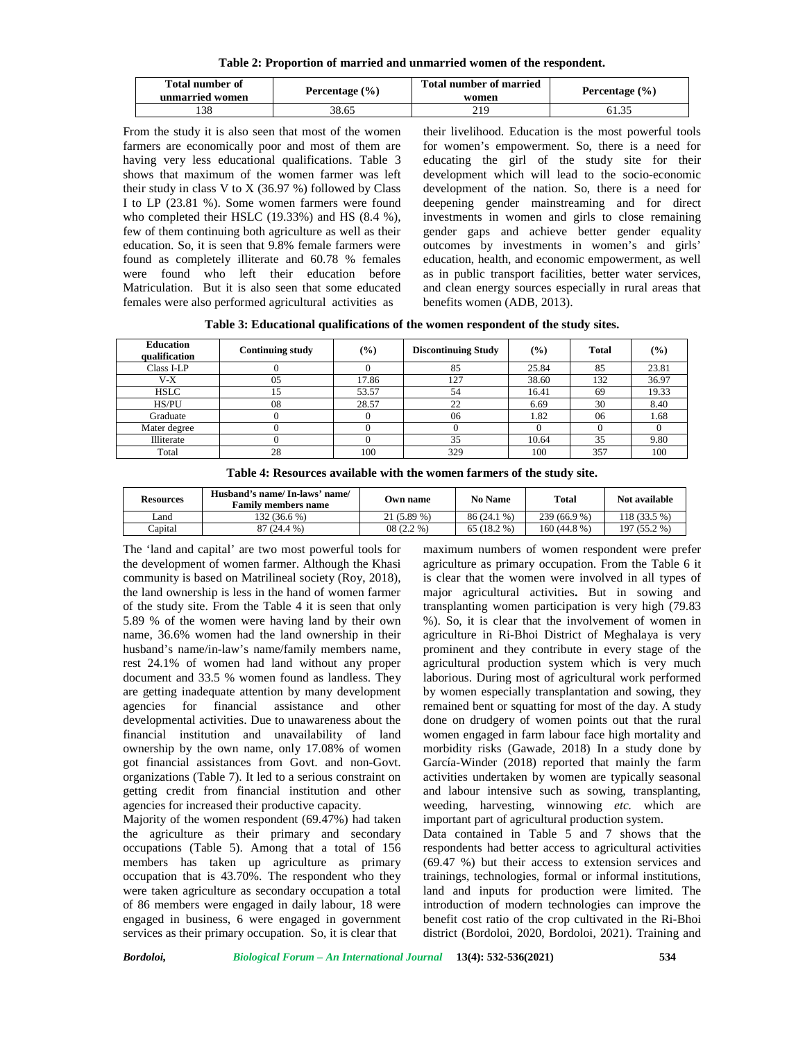**Table 2: Proportion of married and unmarried women of the respondent.**

| <b>Total number of</b><br>unmarried women | Percentage $(\% )$ | <b>Total number of married</b><br>women | Percentage $(\% )$ |
|-------------------------------------------|--------------------|-----------------------------------------|--------------------|
| 38                                        | 38.65              | 219                                     | 61.33              |

From the study it is also seen that most of the women farmers are economically poor and most of them are having very less educational qualifications. Table 3 shows that maximum of the women farmer was left their study in class V to X  $(36.97%)$  followed by Class I to LP (23.81 %). Some women farmers were found who completed their HSLC (19.33%) and HS (8.4 %), few of them continuing both agriculture as well as their education. So, it is seen that 9.8% female farmers were found as completely illiterate and 60.78 % females were found who left their education before Matriculation. But it is also seen that some educated females were also performed agricultural activities as

their livelihood. Education is the most powerful tools for women's empowerment. So, there is a need for educating the girl of the study site for their development which will lead to the socio-economic development of the nation. So, there is a need for deepening gender mainstreaming and for direct investments in women and girls to close remaining gender gaps and achieve better gender equality outcomes by investments in women's and girls' education, health, and economic empowerment, as well as in public transport facilities, better water services, and clean energy sources especially in rural areas that benefits women (ADB, 2013).

**Table 3: Educational qualifications of the women respondent of the study sites.**

| <b>Education</b><br>qualification | <b>Continuing study</b> | $\left(\frac{9}{6}\right)$ | <b>Discontinuing Study</b> | $\frac{9}{6}$ | <b>Total</b> | (%)   |
|-----------------------------------|-------------------------|----------------------------|----------------------------|---------------|--------------|-------|
| Class I-LP                        |                         |                            | 85                         | 25.84         | 85           | 23.81 |
| V-X                               | 05                      | 17.86                      | 127                        | 38.60         | 132          | 36.97 |
| <b>HSLC</b>                       |                         | 53.57                      | 54                         | 16.41         | 69           | 19.33 |
| HS/PU                             | 08                      | 28.57                      | $\cap$<br>∠∠               | 6.69          | 30           | 8.40  |
| Graduate                          |                         |                            | 06                         | 1.82          | 06           | 1.68  |
| Mater degree                      |                         |                            |                            |               |              |       |
| Illiterate                        |                         |                            | 35                         | 10.64         | 35           | 9.80  |
| Total                             | 28                      | 100                        | 329                        | 100           | 357          | 100   |

| Resources | Husband's name/In-laws' name/<br><b>Family members name</b> | Own name     | No Name      | <b>Total</b> | Not available |
|-----------|-------------------------------------------------------------|--------------|--------------|--------------|---------------|
| Land      | 132 (36.6 %)                                                | $21(5.89\%)$ | 86 (24.1 %)  | 239 (66.9 %) | 118 (33.5 %)  |
| Capital   | 37 (24.4 %)                                                 | $08(2.2\%)$  | $65(18.2\%)$ | 160 (44.8 %) | 197 (55.2 %)  |

The 'land and capital' are two most powerful tools for the development of women farmer. Although the Khasi community is based on Matrilineal society (Roy, 2018), the land ownership is less in the hand of women farmer of the study site. From the Table 4 it is seen that only 5.89 % of the women were having land by their own name, 36.6% women had the land ownership in their husband's name/in-law's name/family members name, rest 24.1% of women had land without any proper document and 33.5 % women found as landless. They are getting inadequate attention by many development agencies for financial assistance and other developmental activities. Due to unawareness about the financial institution and unavailability of land ownership by the own name, only 17.08% of women got financial assistances from Govt. and non-Govt. organizations (Table 7). It led to a serious constraint on getting credit from financial institution and other agencies for increased their productive capacity.

Majority of the women respondent (69.47%) had taken the agriculture as their primary and secondary occupations (Table 5). Among that a total of 156 members has taken up agriculture as primary occupation that is 43.70%. The respondent who they were taken agriculture as secondary occupation a total of 86 members were engaged in daily labour, 18 were engaged in business, 6 were engaged in government services as their primary occupation. So, it is clear that

maximum numbers of women respondent were prefer agriculture as primary occupation. From the Table 6 it is clear that the women were involved in all types of major agricultural activities**.** But in sowing and transplanting women participation is very high (79.83 %). So, it is clear that the involvement of women in agriculture in Ri-Bhoi District of Meghalaya is very prominent and they contribute in every stage of the agricultural production system which is very much laborious. During most of agricultural work performed by women especially transplantation and sowing, they remained bent or squatting for most of the day. A study done on drudgery of women points out that the rural women engaged in farm labour face high mortality and morbidity risks (Gawade, 2018) In a study done by García-Winder (2018) reported that mainly the farm activities undertaken by women are typically seasonal and labour intensive such as sowing, transplanting, weeding, harvesting, winnowing *etc.* which are important part of agricultural production system.

Data contained in Table 5 and 7 shows that the respondents had better access to agricultural activities (69.47 %) but their access to extension services and trainings, technologies, formal or informal institutions, land and inputs for production were limited. The introduction of modern technologies can improve the benefit cost ratio of the crop cultivated in the Ri-Bhoi district (Bordoloi, 2020, Bordoloi, 2021). Training and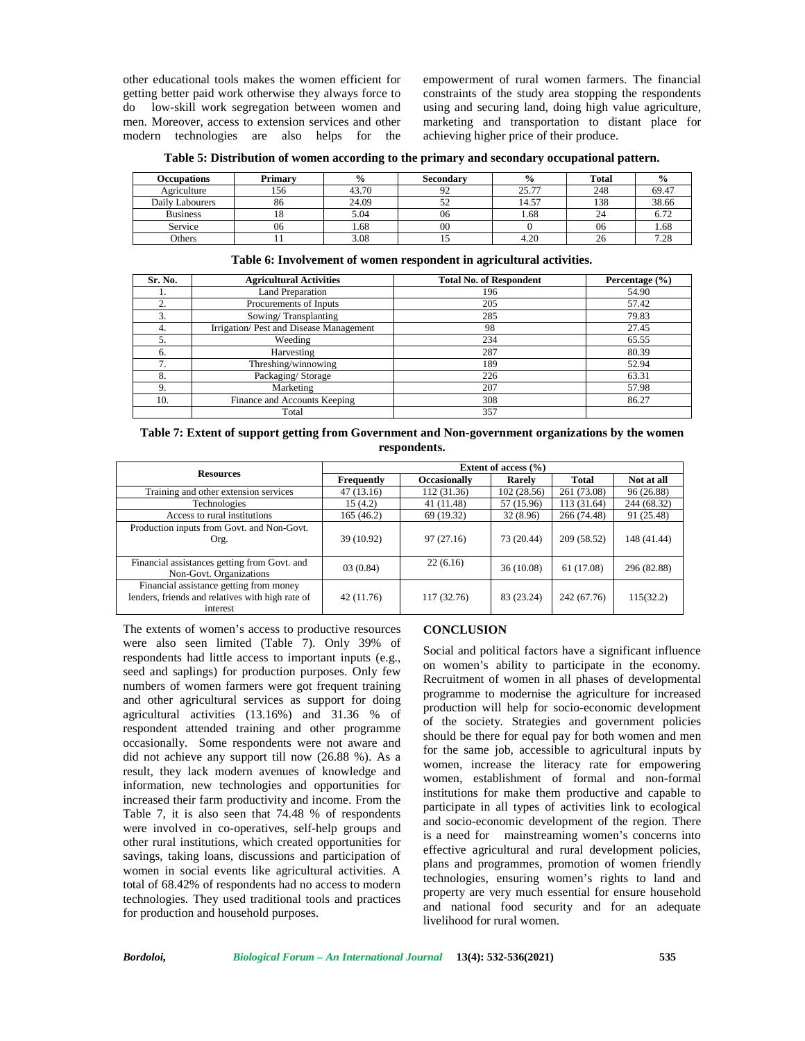other educational tools makes the women efficient for getting better paid work otherwise they always force to do low-skill work segregation between women and men. Moreover, access to extension services and other modern technologies are also helps for the empowerment of rural women farmers. The financial constraints of the study area stopping the respondents using and securing land, doing high value agriculture, marketing and transportation to distant place for achieving higher price of their produce.

|  | Table 5: Distribution of women according to the primary and secondary occupational pattern. |  |  |
|--|---------------------------------------------------------------------------------------------|--|--|
|  |                                                                                             |  |  |

| <b>Occupations</b> | Primary | $\frac{0}{0}$ | Secondary | $\frac{0}{0}$ | Total | $\frac{0}{0}$ |
|--------------------|---------|---------------|-----------|---------------|-------|---------------|
| Agriculture        | 156     | 43.70         | 92        | 25.77         | 248   | 69.47         |
| Daily Labourers    | 86      | 24.09         | ے ر       | 14.57         | 138   | 38.66         |
| <b>Business</b>    |         | 5.04          | 06        | 1.68          | 24    | $\sim$ 70     |
| Service            | 06      | 1.68          | $\rm 00$  |               | 06    | 1.68          |
| Others             |         | 3.08          |           | 4.20          | 26    | 7.28          |

| Sr. No. | <b>Agricultural Activities</b>         | <b>Total No. of Respondent</b> | Percentage $(\% )$ |
|---------|----------------------------------------|--------------------------------|--------------------|
| ı.      | <b>Land Preparation</b>                | 196                            | 54.90              |
| ↑       | Procurements of Inputs                 | 205                            | 57.42              |
| 3.      | Sowing/Transplanting                   | 285                            | 79.83              |
| 4.      | Irrigation/Pest and Disease Management | 98                             | 27.45              |
| 5.      | Weeding                                | 234                            | 65.55              |
| 6.      | Harvesting                             | 287                            | 80.39              |
| 7.      | Threshing/winnowing                    | 189                            | 52.94              |
| 8.      | Packaging/Storage                      | 226                            | 63.31              |
| 9.      | Marketing                              | 207                            | 57.98              |
| 10.     | Finance and Accounts Keeping           | 308                            | 86.27              |
|         | Total                                  | 357                            |                    |

#### **Table 6: Involvement of women respondent in agricultural activities.**

**Table 7: Extent of support getting from Government and Non-government organizations by the women respondents.**

| <b>Resources</b>                                                                                        | Extent of access $(\% )$ |                     |             |              |             |  |  |
|---------------------------------------------------------------------------------------------------------|--------------------------|---------------------|-------------|--------------|-------------|--|--|
|                                                                                                         | Frequently               | <b>Occasionally</b> | Rarely      | <b>Total</b> | Not at all  |  |  |
| Training and other extension services                                                                   | 47(13.16)                | 112 (31.36)         | 102 (28.56) | 261 (73.08)  | 96 (26.88)  |  |  |
| Technologies                                                                                            | 15(4.2)                  | 41 (11.48)          | 57 (15.96)  | 113 (31.64)  | 244 (68.32) |  |  |
| Access to rural institutions                                                                            | 165(46.2)                | 69 (19.32)          | 32 (8.96)   | 266 (74.48)  | 91 (25.48)  |  |  |
| Production inputs from Govt. and Non-Govt.<br>Org.                                                      | 39 (10.92)               | 97(27.16)           | 73 (20.44)  | 209 (58.52)  | 148 (41.44) |  |  |
| Financial assistances getting from Govt. and<br>Non-Govt. Organizations                                 | 03(0.84)                 | 22(6.16)            | 36 (10.08)  | 61 (17.08)   | 296 (82.88) |  |  |
| Financial assistance getting from money<br>lenders, friends and relatives with high rate of<br>interest | 42 (11.76)               | 117 (32.76)         | 83 (23.24)  | 242 (67.76)  | 115(32.2)   |  |  |

The extents of women's access to productive resources were also seen limited (Table 7). Only 39% of respondents had little access to important inputs (e.g., seed and saplings) for production purposes. Only few numbers of women farmers were got frequent training and other agricultural services as support for doing agricultural activities (13.16%) and 31.36 % of respondent attended training and other programme occasionally. Some respondents were not aware and did not achieve any support till now (26.88 %). As a result, they lack modern avenues of knowledge and information, new technologies and opportunities for increased their farm productivity and income. From the Table 7, it is also seen that 74.48 % of respondents were involved in co-operatives, self-help groups and other rural institutions, which created opportunities for savings, taking loans, discussions and participation of women in social events like agricultural activities. A total of 68.42% of respondents had no access to modern technologies. They used traditional tools and practices for production and household purposes.

### **CONCLUSION**

Social and political factors have a significant influence on women's ability to participate in the economy. Recruitment of women in all phases of developmental programme to modernise the agriculture for increased production will help for socio-economic development of the society. Strategies and government policies should be there for equal pay for both women and men for the same job, accessible to agricultural inputs by women, increase the literacy rate for empowering women, establishment of formal and non-formal institutions for make them productive and capable to participate in all types of activities link to ecological and socio-economic development of the region. There is a need for mainstreaming women's concerns into effective agricultural and rural development policies, plans and programmes, promotion of women friendly technologies, ensuring women's rights to land and property are very much essential for ensure household and national food security and for an adequate livelihood for rural women.